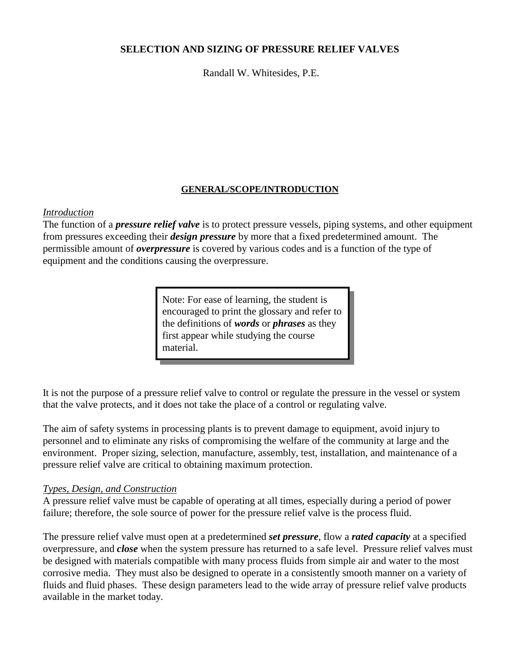### **SELECTION AND SIZING OF PRESSURE RELIEF VALVES**

Randall W. Whitesides, P.E.

# **GENERAL/SCOPE/INTRODUCTION**

### *Introduction*

The function of a *pressure relief valve* is to protect pressure vessels, piping systems, and other equipment from pressures exceeding their *design pressure* by more that a fixed predetermined amount. The permissible amount of *overpressure* is covered by various codes and is a function of the type of equipment and the conditions causing the overpressure.

> Note: For ease of learning, the student is encouraged to print the glossary and refer to the definitions of *words* or *phrases* as they first appear while studying the course material.

It is not the purpose of a pressure relief valve to control or regulate the pressure in the vessel or system that the valve protects, and it does not take the place of a control or regulating valve.

The aim of safety systems in processing plants is to prevent damage to equipment, avoid injury to personnel and to eliminate any risks of compromising the welfare of the community at large and the environment. Proper sizing, selection, manufacture, assembly, test, installation, and maintenance of a pressure relief valve are critical to obtaining maximum protection.

### *Types, Design, and Construction*

A pressure relief valve must be capable of operating at all times, especially during a period of power failure; therefore, the sole source of power for the pressure relief valve is the process fluid.

The pressure relief valve must open at a predetermined *set pressure*, flow a *rated capacity* at a specified overpressure, and *close* when the system pressure has returned to a safe level. Pressure relief valves must be designed with materials compatible with many process fluids from simple air and water to the most corrosive media. They must also be designed to operate in a consistently smooth manner on a variety of fluids and fluid phases. These design parameters lead to the wide array of pressure relief valve products available in the market today.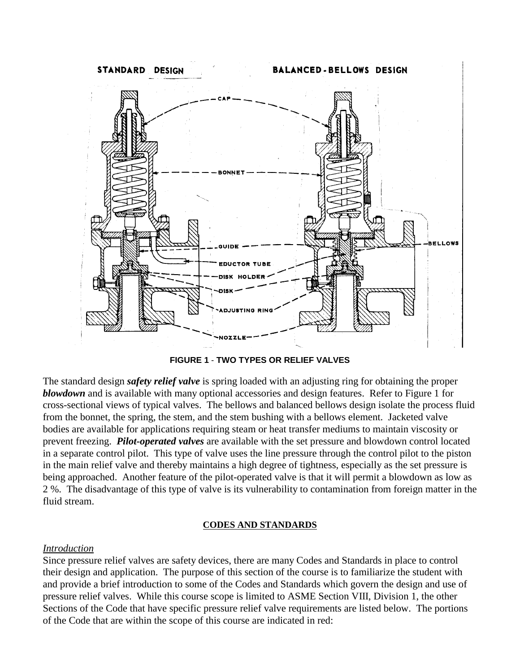

**FIGURE 1** - **TWO TYPES OR RELIEF VALVES**

The standard design *safety relief valve* is spring loaded with an adjusting ring for obtaining the proper *blowdown* and is available with many optional accessories and design features. Refer to Figure 1 for cross-sectional views of typical valves. The bellows and balanced bellows design isolate the process fluid from the bonnet, the spring, the stem, and the stem bushing with a bellows element. Jacketed valve bodies are available for applications requiring steam or heat transfer mediums to maintain viscosity or prevent freezing. *Pilot-operated valves* are available with the set pressure and blowdown control located in a separate control pilot. This type of valve uses the line pressure through the control pilot to the piston in the main relief valve and thereby maintains a high degree of tightness, especially as the set pressure is being approached. Another feature of the pilot-operated valve is that it will permit a blowdown as low as 2 %. The disadvantage of this type of valve is its vulnerability to contamination from foreign matter in the fluid stream.

### **CODES AND STANDARDS**

# *Introduction*

Since pressure relief valves are safety devices, there are many Codes and Standards in place to control their design and application. The purpose of this section of the course is to familiarize the student with and provide a brief introduction to some of the Codes and Standards which govern the design and use of pressure relief valves. While this course scope is limited to ASME Section VIII, Division 1, the other Sections of the Code that have specific pressure relief valve requirements are listed below. The portions of the Code that are within the scope of this course are indicated in red: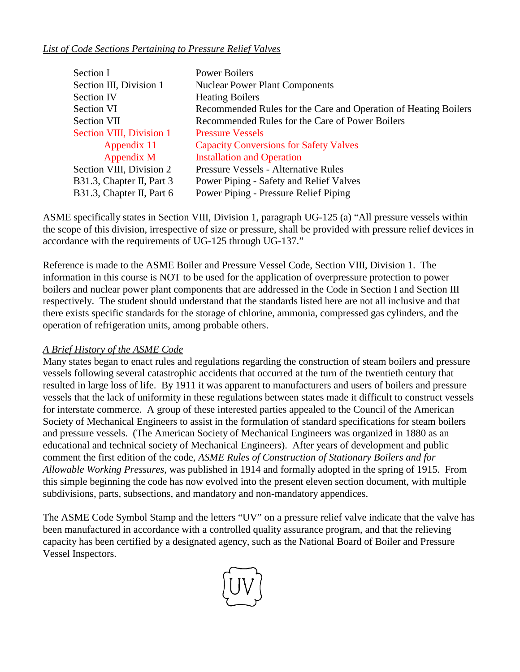# *List of Code Sections Pertaining to Pressure Relief Valves*

| Section I                 | <b>Power Boilers</b>                                            |
|---------------------------|-----------------------------------------------------------------|
| Section III, Division 1   | <b>Nuclear Power Plant Components</b>                           |
| <b>Section IV</b>         | <b>Heating Boilers</b>                                          |
| Section VI                | Recommended Rules for the Care and Operation of Heating Boilers |
| Section VII               | Recommended Rules for the Care of Power Boilers                 |
| Section VIII, Division 1  | <b>Pressure Vessels</b>                                         |
| Appendix 11               | <b>Capacity Conversions for Safety Valves</b>                   |
| Appendix M                | <b>Installation and Operation</b>                               |
| Section VIII, Division 2  | <b>Pressure Vessels - Alternative Rules</b>                     |
| B31.3, Chapter II, Part 3 | Power Piping - Safety and Relief Valves                         |
| B31.3, Chapter II, Part 6 | Power Piping - Pressure Relief Piping                           |

ASME specifically states in Section VIII, Division 1, paragraph UG-125 (a) "All pressure vessels within the scope of this division, irrespective of size or pressure, shall be provided with pressure relief devices in accordance with the requirements of UG-125 through UG-137."

Reference is made to the ASME Boiler and Pressure Vessel Code, Section VIII, Division 1. The information in this course is NOT to be used for the application of overpressure protection to power boilers and nuclear power plant components that are addressed in the Code in Section I and Section III respectively. The student should understand that the standards listed here are not all inclusive and that there exists specific standards for the storage of chlorine, ammonia, compressed gas cylinders, and the operation of refrigeration units, among probable others.

# *A Brief History of the ASME Code*

Many states began to enact rules and regulations regarding the construction of steam boilers and pressure vessels following several catastrophic accidents that occurred at the turn of the twentieth century that resulted in large loss of life. By 1911 it was apparent to manufacturers and users of boilers and pressure vessels that the lack of uniformity in these regulations between states made it difficult to construct vessels for interstate commerce. A group of these interested parties appealed to the Council of the American Society of Mechanical Engineers to assist in the formulation of standard specifications for steam boilers and pressure vessels. (The American Society of Mechanical Engineers was organized in 1880 as an educational and technical society of Mechanical Engineers). After years of development and public comment the first edition of the code, *ASME Rules of Construction of Stationary Boilers and for Allowable Working Pressures,* was published in 1914 and formally adopted in the spring of 1915. From this simple beginning the code has now evolved into the present eleven section document, with multiple subdivisions, parts, subsections, and mandatory and non-mandatory appendices.

The ASME Code Symbol Stamp and the letters "UV" on a pressure relief valve indicate that the valve has been manufactured in accordance with a controlled quality assurance program, and that the relieving capacity has been certified by a designated agency, such as the National Board of Boiler and Pressure Vessel Inspectors.

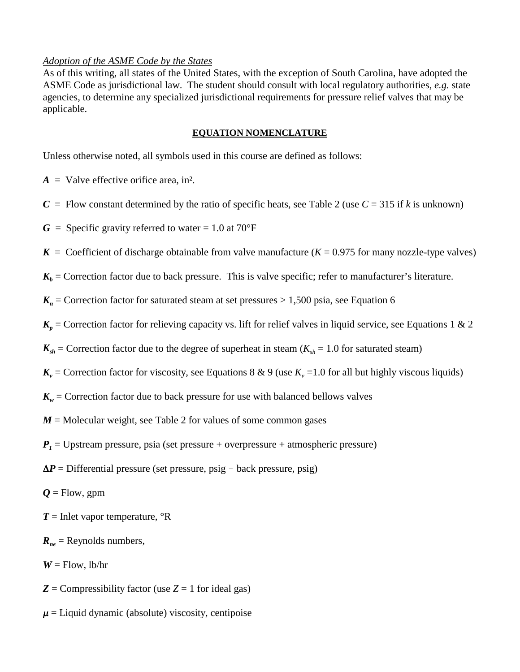### *Adoption of the ASME Code by the States*

As of this writing, all states of the United States, with the exception of South Carolina, have adopted the ASME Code as jurisdictional law. The student should consult with local regulatory authorities, *e.g.* state agencies, to determine any specialized jurisdictional requirements for pressure relief valves that may be applicable.

### **EQUATION NOMENCLATURE**

Unless otherwise noted, all symbols used in this course are defined as follows:

 $A =$  Valve effective orifice area, in<sup>2</sup>.

- $C =$  Flow constant determined by the ratio of specific heats, see Table 2 (use  $C = 315$  if *k* is unknown)
- $G =$  Specific gravity referred to water = 1.0 at 70°F
- $K =$  Coefficient of discharge obtainable from valve manufacture ( $K = 0.975$  for many nozzle-type valves)

 $K_b$  = Correction factor due to back pressure. This is valve specific; refer to manufacturer's literature.

 $K_n$  = Correction factor for saturated steam at set pressures > 1,500 psia, see Equation 6

- $K_p$  = Correction factor for relieving capacity vs. lift for relief valves in liquid service, see Equations 1 & 2
- $K_{sh}$  = Correction factor due to the degree of superheat in steam ( $K_{sh}$  = 1.0 for saturated steam)
- $K_v$  = Correction factor for viscosity, see Equations 8 & 9 (use  $K_v$  =1.0 for all but highly viscous liquids)
- $K_w$  = Correction factor due to back pressure for use with balanced bellows valves
- $M =$  Molecular weight, see Table 2 for values of some common gases
- $P_1$  = Upstream pressure, psia (set pressure + overpressure + atmospheric pressure)
- $\Delta P$  = Differential pressure (set pressure, psig back pressure, psig)
- $Q =$  Flow, gpm

 $T =$  Inlet vapor temperature,  ${}^{\circ}R$ 

- $R_{ne}$  = Reynolds numbers,
- $W =$  Flow, lb/hr
- $Z =$  Compressibility factor (use  $Z = 1$  for ideal gas)
- $\mu$  = Liquid dynamic (absolute) viscosity, centipoise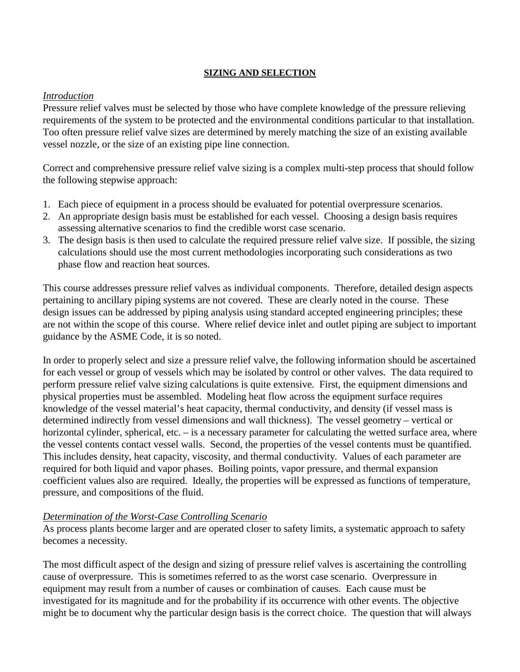### **SIZING AND SELECTION**

# *Introduction*

Pressure relief valves must be selected by those who have complete knowledge of the pressure relieving requirements of the system to be protected and the environmental conditions particular to that installation. Too often pressure relief valve sizes are determined by merely matching the size of an existing available vessel nozzle, or the size of an existing pipe line connection.

Correct and comprehensive pressure relief valve sizing is a complex multi-step process that should follow the following stepwise approach:

- 1. Each piece of equipment in a process should be evaluated for potential overpressure scenarios.
- 2. An appropriate design basis must be established for each vessel. Choosing a design basis requires assessing alternative scenarios to find the credible worst case scenario.
- 3. The design basis is then used to calculate the required pressure relief valve size. If possible, the sizing calculations should use the most current methodologies incorporating such considerations as two phase flow and reaction heat sources.

This course addresses pressure relief valves as individual components. Therefore, detailed design aspects pertaining to ancillary piping systems are not covered. These are clearly noted in the course. These design issues can be addressed by piping analysis using standard accepted engineering principles; these are not within the scope of this course. Where relief device inlet and outlet piping are subject to important guidance by the ASME Code, it is so noted.

In order to properly select and size a pressure relief valve, the following information should be ascertained for each vessel or group of vessels which may be isolated by control or other valves. The data required to perform pressure relief valve sizing calculations is quite extensive. First, the equipment dimensions and physical properties must be assembled. Modeling heat flow across the equipment surface requires knowledge of the vessel material's heat capacity, thermal conductivity, and density (if vessel mass is determined indirectly from vessel dimensions and wall thickness). The vessel geometry – vertical or horizontal cylinder, spherical, etc. – is a necessary parameter for calculating the wetted surface area, where the vessel contents contact vessel walls. Second, the properties of the vessel contents must be quantified. This includes density, heat capacity, viscosity, and thermal conductivity. Values of each parameter are required for both liquid and vapor phases. Boiling points, vapor pressure, and thermal expansion coefficient values also are required. Ideally, the properties will be expressed as functions of temperature, pressure, and compositions of the fluid.

# *Determination of the Worst-Case Controlling Scenario*

As process plants become larger and are operated closer to safety limits, a systematic approach to safety becomes a necessity.

The most difficult aspect of the design and sizing of pressure relief valves is ascertaining the controlling cause of overpressure. This is sometimes referred to as the worst case scenario. Overpressure in equipment may result from a number of causes or combination of causes. Each cause must be investigated for its magnitude and for the probability if its occurrence with other events. The objective might be to document why the particular design basis is the correct choice. The question that will always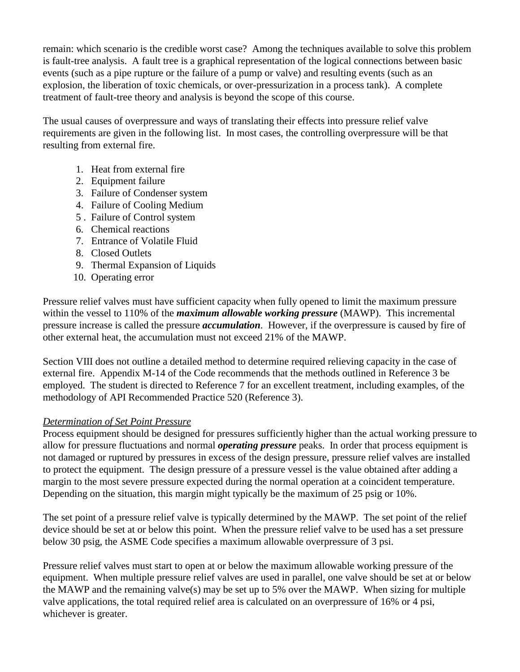remain: which scenario is the credible worst case? Among the techniques available to solve this problem is fault-tree analysis. A fault tree is a graphical representation of the logical connections between basic events (such as a pipe rupture or the failure of a pump or valve) and resulting events (such as an explosion, the liberation of toxic chemicals, or over-pressurization in a process tank). A complete treatment of fault-tree theory and analysis is beyond the scope of this course.

The usual causes of overpressure and ways of translating their effects into pressure relief valve requirements are given in the following list. In most cases, the controlling overpressure will be that resulting from external fire.

- 1. Heat from external fire
- 2. Equipment failure
- 3. Failure of Condenser system
- 4. Failure of Cooling Medium
- 5 . Failure of Control system
- 6. Chemical reactions
- 7. Entrance of Volatile Fluid
- 8. Closed Outlets
- 9. Thermal Expansion of Liquids
- 10. Operating error

Pressure relief valves must have sufficient capacity when fully opened to limit the maximum pressure within the vessel to 110% of the *maximum allowable working pressure* (MAWP). This incremental pressure increase is called the pressure *accumulation*. However, if the overpressure is caused by fire of other external heat, the accumulation must not exceed 21% of the MAWP.

Section VIII does not outline a detailed method to determine required relieving capacity in the case of external fire. Appendix M-14 of the Code recommends that the methods outlined in Reference 3 be employed. The student is directed to Reference 7 for an excellent treatment, including examples, of the methodology of API Recommended Practice 520 (Reference 3).

# *Determination of Set Point Pressure*

Process equipment should be designed for pressures sufficiently higher than the actual working pressure to allow for pressure fluctuations and normal *operating pressure* peaks. In order that process equipment is not damaged or ruptured by pressures in excess of the design pressure, pressure relief valves are installed to protect the equipment. The design pressure of a pressure vessel is the value obtained after adding a margin to the most severe pressure expected during the normal operation at a coincident temperature. Depending on the situation, this margin might typically be the maximum of 25 psig or 10%.

The set point of a pressure relief valve is typically determined by the MAWP. The set point of the relief device should be set at or below this point. When the pressure relief valve to be used has a set pressure below 30 psig, the ASME Code specifies a maximum allowable overpressure of 3 psi.

Pressure relief valves must start to open at or below the maximum allowable working pressure of the equipment. When multiple pressure relief valves are used in parallel, one valve should be set at or below the MAWP and the remaining valve(s) may be set up to 5% over the MAWP. When sizing for multiple valve applications, the total required relief area is calculated on an overpressure of 16% or 4 psi, whichever is greater.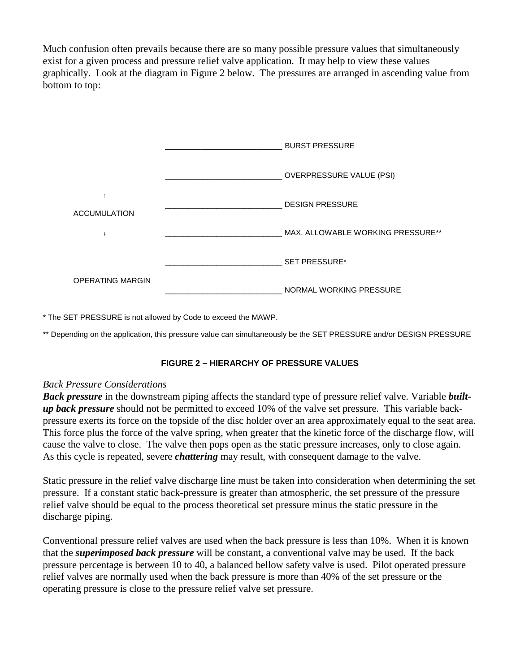Much confusion often prevails because there are so many possible pressure values that simultaneously exist for a given process and pressure relief valve application. It may help to view these values graphically. Look at the diagram in Figure 2 below. The pressures are arranged in ascending value from bottom to top:

|                         | <b>BURST PRESSURE</b>             |
|-------------------------|-----------------------------------|
|                         | <b>OVERPRESSURE VALUE (PSI)</b>   |
| <b>ACCUMULATION</b>     | <b>DESIGN PRESSURE</b>            |
|                         | MAX. ALLOWABLE WORKING PRESSURE** |
|                         | <b>SET PRESSURE*</b>              |
| <b>OPERATING MARGIN</b> | NORMAL WORKING PRESSURE           |

\* The SET PRESSURE is not allowed by Code to exceed the MAWP.

\*\* Depending on the application, this pressure value can simultaneously be the SET PRESSURE and/or DESIGN PRESSURE

### **FIGURE 2 – HIERARCHY OF PRESSURE VALUES**

### *Back Pressure Considerations*

*Back pressure* in the downstream piping affects the standard type of pressure relief valve. Variable *builtup back pressure* should not be permitted to exceed 10% of the valve set pressure. This variable backpressure exerts its force on the topside of the disc holder over an area approximately equal to the seat area. This force plus the force of the valve spring, when greater that the kinetic force of the discharge flow, will cause the valve to close. The valve then pops open as the static pressure increases, only to close again. As this cycle is repeated, severe *chattering* may result, with consequent damage to the valve.

Static pressure in the relief valve discharge line must be taken into consideration when determining the set pressure. If a constant static back-pressure is greater than atmospheric, the set pressure of the pressure relief valve should be equal to the process theoretical set pressure minus the static pressure in the discharge piping.

Conventional pressure relief valves are used when the back pressure is less than 10%. When it is known that the *superimposed back pressure* will be constant, a conventional valve may be used. If the back pressure percentage is between 10 to 40, a balanced bellow safety valve is used. Pilot operated pressure relief valves are normally used when the back pressure is more than 40% of the set pressure or the operating pressure is close to the pressure relief valve set pressure.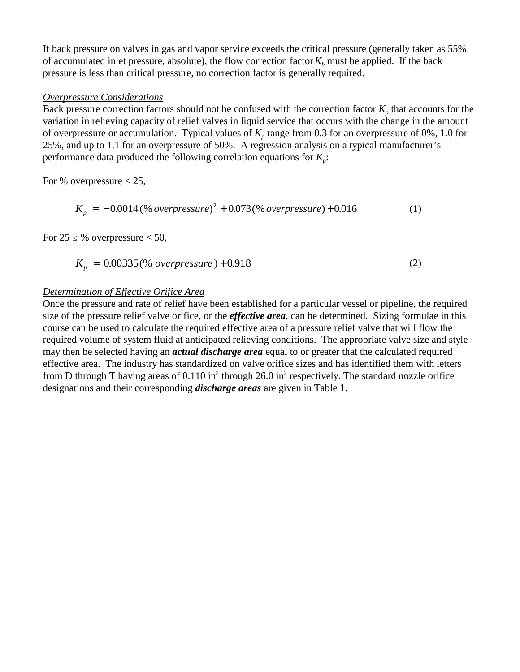If back pressure on valves in gas and vapor service exceeds the critical pressure (generally taken as 55% of accumulated inlet pressure, absolute), the flow correction factor  $K_b$  must be applied. If the back pressure is less than critical pressure, no correction factor is generally required.

### *Overpressure Considerations*

Back pressure correction factors should not be confused with the correction factor  $K_p$  that accounts for the variation in relieving capacity of relief valves in liquid service that occurs with the change in the amount of overpressure or accumulation. Typical values of  $K_p$  range from 0.3 for an overpressure of 0%, 1.0 for 25%, and up to 1.1 for an overpressure of 50%. A regression analysis on a typical manufacturer's performance data produced the following correlation equations for  $K_p$ :

For % overpressure  $< 25$ ,

$$
K_p = -0.0014 \, (\% \, overpressure)^2 + 0.073 \, (\% \, overpressure) + 0.016 \tag{1}
$$

For  $25 \leq$  % overpressure  $<$  50,

$$
K_p = 0.00335 \, (\% \ over pressure) + 0.918 \tag{2}
$$

# *Determination of Effective Orifice Area*

Once the pressure and rate of relief have been established for a particular vessel or pipeline, the required size of the pressure relief valve orifice, or the *effective area*, can be determined. Sizing formulae in this course can be used to calculate the required effective area of a pressure relief valve that will flow the required volume of system fluid at anticipated relieving conditions. The appropriate valve size and style may then be selected having an *actual discharge area* equal to or greater that the calculated required effective area. The industry has standardized on valve orifice sizes and has identified them with letters from D through T having areas of  $0.110$  in<sup>2</sup> through 26.0 in<sup>2</sup> respectively. The standard nozzle orifice designations and their corresponding *discharge areas* are given in Table 1.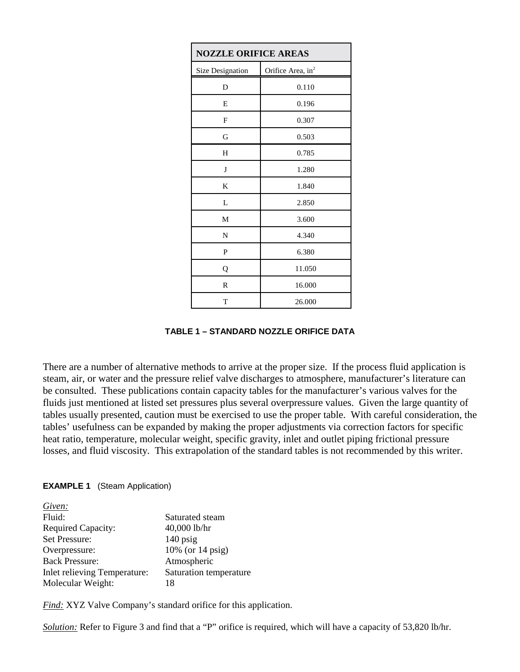| <b>NOZZLE ORIFICE AREAS</b> |                               |  |  |  |
|-----------------------------|-------------------------------|--|--|--|
| <b>Size Designation</b>     | Orifice Area, in <sup>2</sup> |  |  |  |
| D                           | 0.110                         |  |  |  |
| E                           | 0.196                         |  |  |  |
| F                           | 0.307                         |  |  |  |
| G                           | 0.503                         |  |  |  |
| H                           | 0.785                         |  |  |  |
| J                           | 1.280                         |  |  |  |
| K                           | 1.840                         |  |  |  |
| L                           | 2.850                         |  |  |  |
| М                           | 3.600                         |  |  |  |
| N                           | 4.340                         |  |  |  |
| P                           | 6.380                         |  |  |  |
| Q                           | 11.050                        |  |  |  |
| R                           | 16.000                        |  |  |  |
| T                           | 26.000                        |  |  |  |

**TABLE 1 – STANDARD NOZZLE ORIFICE DATA**

There are a number of alternative methods to arrive at the proper size. If the process fluid application is steam, air, or water and the pressure relief valve discharges to atmosphere, manufacturer's literature can be consulted. These publications contain capacity tables for the manufacturer's various valves for the fluids just mentioned at listed set pressures plus several overpressure values. Given the large quantity of tables usually presented, caution must be exercised to use the proper table. With careful consideration, the tables' usefulness can be expanded by making the proper adjustments via correction factors for specific heat ratio, temperature, molecular weight, specific gravity, inlet and outlet piping frictional pressure losses, and fluid viscosity. This extrapolation of the standard tables is not recommended by this writer.

### **EXAMPLE 1** (Steam Application)

| Given:                       |                        |
|------------------------------|------------------------|
| Fluid:                       | Saturated steam        |
| <b>Required Capacity:</b>    | 40,000 lb/hr           |
| Set Pressure:                | $140$ psig             |
| Overpressure:                | 10% (or 14 psig)       |
| <b>Back Pressure:</b>        | Atmospheric            |
| Inlet relieving Temperature: | Saturation temperature |
| Molecular Weight:            | 18                     |
|                              |                        |

*Find:* XYZ Valve Company's standard orifice for this application.

*Solution:* Refer to Figure 3 and find that a "P" orifice is required, which will have a capacity of 53,820 lb/hr.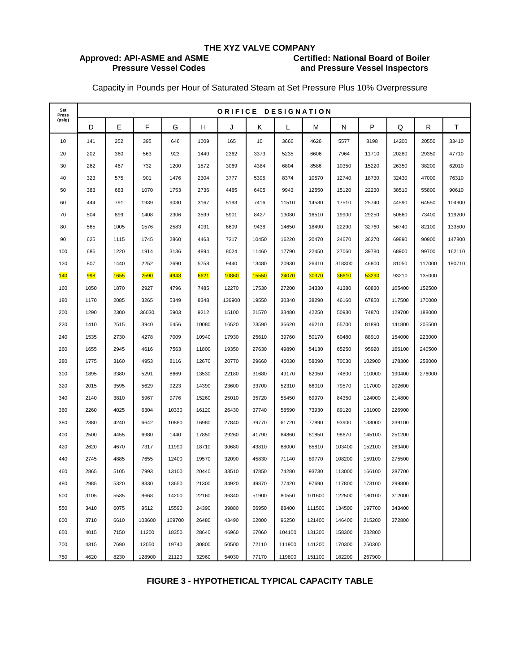# **Approved: API-ASME and ASME**

# **THE XYZ VALVE COMPANY Pressure Vessel Codes and Pressure Vessel Inspectors**

Capacity in Pounds per Hour of Saturated Steam at Set Pressure Plus 10% Overpressure

| Set<br>Press | ORIFICE DESIGNATION |             |        |        |       |        |       |        |        |        |        |        |        |        |
|--------------|---------------------|-------------|--------|--------|-------|--------|-------|--------|--------|--------|--------|--------|--------|--------|
| (psig)       | D                   | E           | F      | G      | Н     | J      | κ     | L      | М      | N      | P      | Q      | R      | Τ      |
| 10           | 141                 | 252         | 395    | 646    | 1009  | 165    | 10    | 3666   | 4626   | 5577   | 8198   | 14200  | 20550  | 33410  |
| 20           | 202                 | 360         | 563    | 923    | 1440  | 2362   | 3373  | 5235   | 6606   | 7964   | 11710  | 20280  | 29350  | 47710  |
| 30           | 262                 | 467         | 732    | 1200   | 1872  | 3069   | 4384  | 6804   | 8586   | 10350  | 15220  | 26350  | 38200  | 62010  |
| 40           | 323                 | 575         | 901    | 1476   | 2304  | 3777   | 5395  | 8374   | 10570  | 12740  | 18730  | 32430  | 47000  | 76310  |
| 50           | 383                 | 683         | 1070   | 1753   | 2736  | 4485   | 6405  | 9943   | 12550  | 15120  | 22230  | 38510  | 55800  | 90610  |
| 60           | 444                 | 791         | 1939   | 9030   | 3167  | 5193   | 7416  | 11510  | 14530  | 17510  | 25740  | 44590  | 64550  | 104900 |
| 70           | 504                 | 899         | 1408   | 2306   | 3599  | 5901   | 8427  | 13080  | 16510  | 19900  | 29250  | 50660  | 73400  | 119200 |
| 80           | 565                 | 1005        | 1576   | 2583   | 4031  | 6609   | 9438  | 14650  | 18490  | 22290  | 32760  | 56740  | 82100  | 133500 |
| 90           | 625                 | 1115        | 1745   | 2860   | 4463  | 7317   | 10450 | 16220  | 20470  | 24670  | 36270  | 69890  | 90900  | 147800 |
| 100          | 686                 | 1220        | 1914   | 3136   | 4894  | 8024   | 11460 | 17790  | 22450  | 27060  | 39780  | 68900  | 99700  | 162110 |
| 120          | 807                 | 1440        | 2252   | 2690   | 5758  | 9440   | 13480 | 20930  | 26410  | 318300 | 46800  | 81050  | 117000 | 190710 |
| 140          | 998                 | <b>1655</b> | 2590   | 4943   | 6621  | 10860  | 15550 | 24070  | 30370  | 36610  | 53290  | 93210  | 135000 |        |
| 160          | 1050                | 1870        | 2927   | 4796   | 7485  | 12270  | 17530 | 27200  | 34330  | 41380  | 60830  | 105400 | 152500 |        |
| 180          | 1170                | 2085        | 3265   | 5349   | 8348  | 136900 | 19550 | 30340  | 38290  | 46160  | 67850  | 117500 | 170000 |        |
| 200          | 1290                | 2300        | 36030  | 5903   | 9212  | 15100  | 21570 | 33480  | 42250  | 50930  | 74870  | 129700 | 188000 |        |
| 220          | 1410                | 2515        | 3940   | 6456   | 10080 | 16520  | 23590 | 36620  | 46210  | 55700  | 81890  | 141800 | 205500 |        |
| 240          | 1535                | 2730        | 4278   | 7009   | 10940 | 17930  | 25610 | 39760  | 50170  | 60480  | 88910  | 154000 | 223000 |        |
| 260          | 1655                | 2945        | 4616   | 7563   | 11800 | 19350  | 27630 | 49890  | 54130  | 65250  | 95920  | 166100 | 240500 |        |
| 280          | 1775                | 3160        | 4953   | 8116   | 12670 | 20770  | 29660 | 46030  | 58090  | 70030  | 102900 | 178300 | 258000 |        |
| 300          | 1895                | 3380        | 5291   | 8669   | 13530 | 22180  | 31680 | 49170  | 62050  | 74800  | 110000 | 190400 | 276000 |        |
| 320          | 2015                | 3595        | 5629   | 9223   | 14390 | 23600  | 33700 | 52310  | 66010  | 79570  | 117000 | 202600 |        |        |
| 340          | 2140                | 3810        | 5967   | 9776   | 15260 | 25010  | 35720 | 55450  | 69970  | 84350  | 124000 | 214800 |        |        |
| 360          | 2260                | 4025        | 6304   | 10330  | 16120 | 26430  | 37740 | 58590  | 73930  | 89120  | 131000 | 226900 |        |        |
| 380          | 2380                | 4240        | 6642   | 10880  | 16980 | 27840  | 39770 | 61720  | 77890  | 93900  | 138000 | 239100 |        |        |
| 400          | 2500                | 4455        | 6980   | 1440   | 17850 | 29260  | 41790 | 64860  | 81850  | 98670  | 145100 | 251200 |        |        |
| 420          | 2620                | 4670        | 7317   | 11990  | 18710 | 30680  | 43810 | 68000  | 85810  | 103400 | 152100 | 263400 |        |        |
| 440          | 2745                | 4885        | 7655   | 12400  | 19570 | 32090  | 45830 | 71140  | 89770  | 108200 | 159100 | 275500 |        |        |
| 460          | 2865                | 5105        | 7993   | 13100  | 20440 | 33510  | 47850 | 74280  | 93730  | 113000 | 166100 | 287700 |        |        |
| 480          | 2985                | 5320        | 8330   | 13650  | 21300 | 34920  | 49870 | 77420  | 97690  | 117800 | 173100 | 299800 |        |        |
| 500          | 3105                | 5535        | 8668   | 14200  | 22160 | 36340  | 51900 | 80550  | 101600 | 122500 | 180100 | 312000 |        |        |
| 550          | 3410                | 6075        | 9512   | 15590  | 24390 | 39880  | 56950 | 88400  | 111500 | 134500 | 197700 | 343400 |        |        |
| 600          | 3710                | 6610        | 103600 | 169700 | 26480 | 43490  | 62000 | 96250  | 121400 | 146400 | 215200 | 372800 |        |        |
| 650          | 4015                | 7150        | 11200  | 18350  | 28640 | 46960  | 67060 | 104100 | 131300 | 158300 | 232800 |        |        |        |
| 700          | 4315                | 7690        | 12050  | 19740  | 30800 | 50500  | 72110 | 111900 | 141200 | 170300 | 250300 |        |        |        |
| 750          | 4620                | 8230        | 128900 | 21120  | 32960 | 54030  | 77170 | 119800 | 151100 | 182200 | 267900 |        |        |        |

### **FIGURE 3 - HYPOTHETICAL TYPICAL CAPACITY TABLE**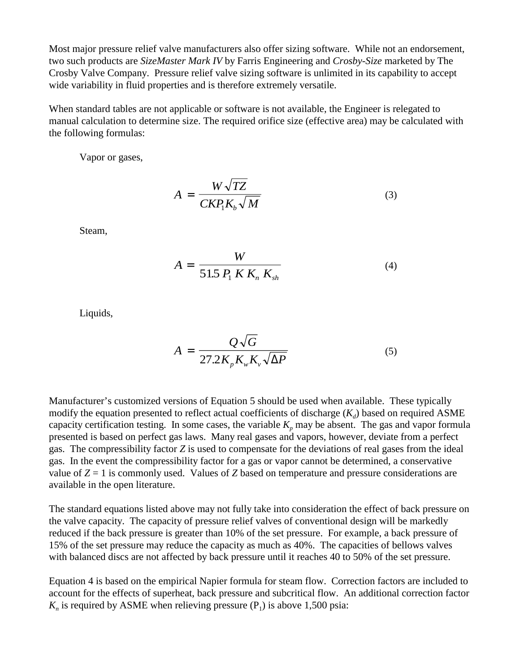Most major pressure relief valve manufacturers also offer sizing software. While not an endorsement, two such products are *SizeMaster Mark IV* by Farris Engineering and *Crosby-Size* marketed by The Crosby Valve Company. Pressure relief valve sizing software is unlimited in its capability to accept wide variability in fluid properties and is therefore extremely versatile.

When standard tables are not applicable or software is not available, the Engineer is relegated to manual calculation to determine size. The required orifice size (effective area) may be calculated with the following formulas:

Vapor or gases,

$$
A = \frac{W\sqrt{TZ}}{CKP_1K_b\sqrt{M}}
$$
 (3)

Steam,

$$
A = \frac{W}{51.5 \, P_1 \, K \, K_n \, K_{sh}} \tag{4}
$$

Liquids,

$$
A = \frac{Q\sqrt{G}}{27.2K_pK_wK_v\sqrt{\Delta P}}
$$
 (5)

Manufacturer's customized versions of Equation 5 should be used when available. These typically modify the equation presented to reflect actual coefficients of discharge  $(K_d)$  based on required ASME capacity certification testing. In some cases, the variable  $K_p$  may be absent. The gas and vapor formula presented is based on perfect gas laws. Many real gases and vapors, however, deviate from a perfect gas. The compressibility factor *Z* is used to compensate for the deviations of real gases from the ideal gas. In the event the compressibility factor for a gas or vapor cannot be determined, a conservative value of  $Z = 1$  is commonly used. Values of *Z* based on temperature and pressure considerations are available in the open literature.

The standard equations listed above may not fully take into consideration the effect of back pressure on the valve capacity. The capacity of pressure relief valves of conventional design will be markedly reduced if the back pressure is greater than 10% of the set pressure. For example, a back pressure of 15% of the set pressure may reduce the capacity as much as 40%. The capacities of bellows valves with balanced discs are not affected by back pressure until it reaches 40 to 50% of the set pressure.

Equation 4 is based on the empirical Napier formula for steam flow. Correction factors are included to account for the effects of superheat, back pressure and subcritical flow. An additional correction factor  $K_n$  is required by ASME when relieving pressure  $(P_1)$  is above 1,500 psia: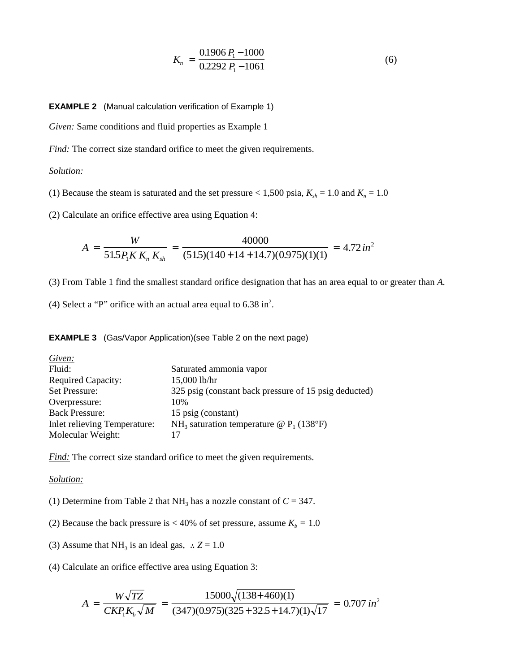$$
K_n = \frac{0.1906 P_1 - 1000}{0.2292 P_1 - 1061} \tag{6}
$$

**EXAMPLE 2** (Manual calculation verification of Example 1)

*Given:* Same conditions and fluid properties as Example 1

*Find:* The correct size standard orifice to meet the given requirements.

### *Solution:*

(1) Because the steam is saturated and the set pressure  $< 1,500$  psia,  $K_{sh} = 1.0$  and  $K_n = 1.0$ 

(2) Calculate an orifice effective area using Equation 4:

$$
A = \frac{W}{51.5 P_1 K K_n K_{sh}} = \frac{40000}{(51.5)(140 + 14 + 14.7)(0.975)(1)(1)} = 4.72 \text{ in}^2
$$

(3) From Table 1 find the smallest standard orifice designation that has an area equal to or greater than *A.*

(4) Select a "P" orifice with an actual area equal to  $6.38$  in<sup>2</sup>.

**EXAMPLE 3** (Gas/Vapor Application)(see Table 2 on the next page)

| Given:                       |                                                        |
|------------------------------|--------------------------------------------------------|
| Fluid:                       | Saturated ammonia vapor                                |
| <b>Required Capacity:</b>    | 15,000 lb/hr                                           |
| Set Pressure:                | 325 psig (constant back pressure of 15 psig deducted)  |
| Overpressure:                | 10%                                                    |
| <b>Back Pressure:</b>        | 15 psig (constant)                                     |
| Inlet relieving Temperature: | NH <sub>3</sub> saturation temperature @ $P_1$ (138°F) |
| Molecular Weight:            |                                                        |

*Find:* The correct size standard orifice to meet the given requirements.

### *Solution:*

- (1) Determine from Table 2 that NH<sub>3</sub> has a nozzle constant of  $C = 347$ .
- (2) Because the back pressure is  $<$  40% of set pressure, assume  $K_b = 1.0$
- (3) Assume that NH<sub>3</sub> is an ideal gas,  $\therefore Z = 1.0$
- (4) Calculate an orifice effective area using Equation 3:

$$
A = \frac{W\sqrt{TZ}}{CKP_1K_b\sqrt{M}} = \frac{15000\sqrt{(138+460)(1)}}{(347)(0.975)(325+32.5+14.7)(1)\sqrt{17}} = 0.707 \text{ in}^2
$$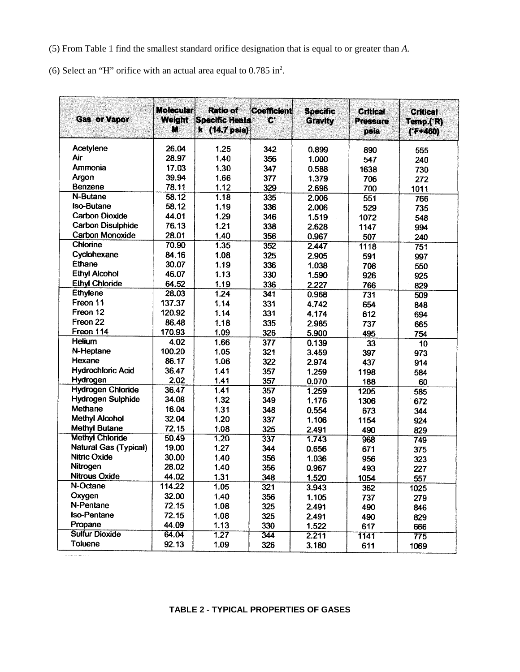(5) From Table 1 find the smallest standard orifice designation that is equal to or greater than *A.*

 $(6)$  Select an "H" orifice with an actual area equal to 0.785 in<sup>2</sup>.

| <b>Gas or Vapor</b>      | <b>Molecular</b><br>Weight<br>M | <b>Ratio of</b><br><b>Specific Heats</b><br>k (14.7 psia) | Coefficient<br>Ø | <b>Specific</b><br><b>Gravity</b> | Critical<br><b>Pressure</b><br>psia | <b>Critical</b><br>Temp.('R)<br>$(F+460)$ |
|--------------------------|---------------------------------|-----------------------------------------------------------|------------------|-----------------------------------|-------------------------------------|-------------------------------------------|
| Acetylene                | 26.04                           | 1.25                                                      | 342              | 0.899                             | 890                                 | 555                                       |
| Air                      | 28.97                           | 1.40                                                      | 356              | 1.000                             | 547                                 | 240                                       |
| Ammonia                  | 17.03                           | 1.30                                                      | 347              | 0.588                             | 1638                                | 730                                       |
| Argon                    | 39.94                           | 1.66                                                      | 377              | 1.379                             | 706                                 | 272                                       |
| Benzene                  | 78.11                           | 1.12                                                      | 329              | 2.696                             | 700                                 | 1011                                      |
| N-Butane                 | 58.12                           | 1.18                                                      | 335              | 2.006                             | 551                                 | 766                                       |
| <b>Iso-Butane</b>        | 58.12                           | 1.19                                                      | 336              | 2.006                             | 529                                 | 735                                       |
| <b>Carbon Dioxide</b>    | 44.01                           | 1.29                                                      | 346              | 1.519                             | 1072                                | 548                                       |
| <b>Carbon Disulphide</b> | 76.13                           | 1.21                                                      | 338              | 2.628                             | 1147                                | 994                                       |
| Carbon Monoxide          | 28.01                           | 1.40                                                      | 356              | 0.967                             | 507                                 | 240                                       |
| Chlorine                 | 70.90                           | 1.35                                                      | 352              | 2.447                             | 1118                                | 751                                       |
| Cyclohexane              | 84.16                           | 1.08                                                      | 325              | 2.905                             | 591                                 | 997                                       |
| Ethane                   | 30.07                           | 1.19                                                      | 336              | 1.038                             | 708                                 | 550                                       |
| <b>Ethyl Alcohol</b>     | 46.07                           | 1.13                                                      | 330              | 1.590                             | 926                                 | 925                                       |
| <b>Ethyl Chloride</b>    | 64.52                           | 1.19                                                      | 336              | 2.227                             | 766                                 | 829                                       |
| Ethylene                 | 28.03                           | 1.24                                                      | 341              | 0.968                             | 731                                 | 509                                       |
| Freon 11                 | 137.37                          | 1.14                                                      | 331              | 4.742                             | 654                                 | 848                                       |
| Freon 12                 | 120.92                          | 1.14                                                      | 331              | 4.174                             | 612                                 | 694                                       |
| Freon 22                 | 86.48                           | 1.18                                                      | 335              | 2.985                             | 737                                 | 665                                       |
| Freon 114                | 170.93                          | 1.09                                                      | 326              | 5.900                             | 495                                 | 754                                       |
| <b>Helium</b>            | 4.02                            | 1.66                                                      | 377              | 0.139                             | 33                                  | 10                                        |
| N-Heptane                | 100.20                          | 1.05                                                      | 321              | 3.459                             | 397                                 | 973                                       |
| Hexane                   | 86.17                           | 1.06                                                      | 322              | 2.974                             | 437                                 | 914                                       |
| <b>Hydrochloric Acid</b> | 36.47                           | 1.41                                                      | 357              | 1.259                             | 1198                                | 584                                       |
| Hydrogen                 | 2.02                            | 1.41                                                      | 357              | 0.070                             | 188                                 | 60                                        |
| <b>Hydrogen Chloride</b> | 36.47                           | 1.41                                                      | 357              | 1.259                             | 1205                                | 585                                       |
| Hydrogen Sulphide        | 34.08                           | 1.32                                                      | 349              | 1.176                             | 1306                                | 672                                       |
| Methane                  | 16.04                           | 1.31                                                      | 348              | 0.554                             | 673                                 | 344                                       |
| <b>Methyl Alcohol</b>    | 32.04                           | 1.20                                                      | 337              | 1.106                             | 1154                                | 924                                       |
| <b>Methyl Butane</b>     | 72.15                           | 1.08                                                      | 325              | 2.491                             | 490                                 | 829                                       |
| <b>Methyl Chloride</b>   | 50.49                           | 1.20                                                      | 337              | 1.743                             | 968                                 | 749                                       |
| Natural Gas (Typical)    | 19.00                           | 1.27                                                      | 344              | 0.656                             | 671                                 | 375                                       |
| Nitric Oxide             | 30.00                           | 1.40                                                      | 356              | 1.036                             | 956                                 | 323                                       |
| Nitrogen                 | 28.02                           | 1.40                                                      | 356              | 0.967                             | 493                                 | 227                                       |
| <b>Nitrous Oxide</b>     | 44.02                           | 1.31                                                      | 348              | 1.520                             | 1054                                | 557                                       |
| N-Octane                 | 114.22                          | 1.05                                                      | 321              | 3.943                             | 362                                 | 1025                                      |
| Oxygen                   | 32.00                           | 1.40                                                      | 356              | 1.105                             | 737                                 | 279                                       |
| N-Pentane                | 72.15                           | 1.08                                                      | 325              | 2.491                             | 490                                 | 846                                       |
| <b>Iso-Pentane</b>       | 72.15                           | 1.08                                                      | 325              | 2.491                             | 490                                 | 829                                       |
| Propane                  | 44.09                           | 1.13                                                      | 330              | 1.522                             | 617                                 | 666                                       |
| <b>Sulfur Dioxide</b>    | 64.04                           | 1.27                                                      | 344              | 2.211                             | 1141                                | 775                                       |
|                          |                                 |                                                           |                  |                                   |                                     |                                           |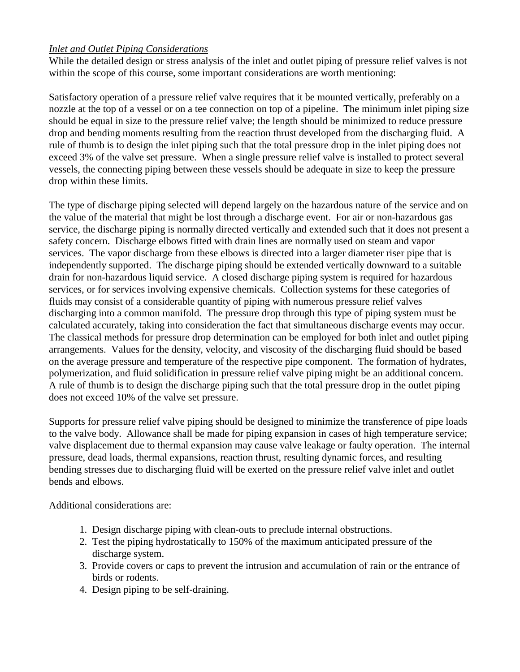# *Inlet and Outlet Piping Considerations*

While the detailed design or stress analysis of the inlet and outlet piping of pressure relief valves is not within the scope of this course, some important considerations are worth mentioning:

Satisfactory operation of a pressure relief valve requires that it be mounted vertically, preferably on a nozzle at the top of a vessel or on a tee connection on top of a pipeline. The minimum inlet piping size should be equal in size to the pressure relief valve; the length should be minimized to reduce pressure drop and bending moments resulting from the reaction thrust developed from the discharging fluid. A rule of thumb is to design the inlet piping such that the total pressure drop in the inlet piping does not exceed 3% of the valve set pressure. When a single pressure relief valve is installed to protect several vessels, the connecting piping between these vessels should be adequate in size to keep the pressure drop within these limits.

The type of discharge piping selected will depend largely on the hazardous nature of the service and on the value of the material that might be lost through a discharge event. For air or non-hazardous gas service, the discharge piping is normally directed vertically and extended such that it does not present a safety concern. Discharge elbows fitted with drain lines are normally used on steam and vapor services. The vapor discharge from these elbows is directed into a larger diameter riser pipe that is independently supported. The discharge piping should be extended vertically downward to a suitable drain for non-hazardous liquid service. A closed discharge piping system is required for hazardous services, or for services involving expensive chemicals. Collection systems for these categories of fluids may consist of a considerable quantity of piping with numerous pressure relief valves discharging into a common manifold. The pressure drop through this type of piping system must be calculated accurately, taking into consideration the fact that simultaneous discharge events may occur. The classical methods for pressure drop determination can be employed for both inlet and outlet piping arrangements. Values for the density, velocity, and viscosity of the discharging fluid should be based on the average pressure and temperature of the respective pipe component. The formation of hydrates, polymerization, and fluid solidification in pressure relief valve piping might be an additional concern. A rule of thumb is to design the discharge piping such that the total pressure drop in the outlet piping does not exceed 10% of the valve set pressure.

Supports for pressure relief valve piping should be designed to minimize the transference of pipe loads to the valve body. Allowance shall be made for piping expansion in cases of high temperature service; valve displacement due to thermal expansion may cause valve leakage or faulty operation. The internal pressure, dead loads, thermal expansions, reaction thrust, resulting dynamic forces, and resulting bending stresses due to discharging fluid will be exerted on the pressure relief valve inlet and outlet bends and elbows.

Additional considerations are:

- 1. Design discharge piping with clean-outs to preclude internal obstructions.
- 2. Test the piping hydrostatically to 150% of the maximum anticipated pressure of the discharge system.
- 3. Provide covers or caps to prevent the intrusion and accumulation of rain or the entrance of birds or rodents.
- 4. Design piping to be self-draining.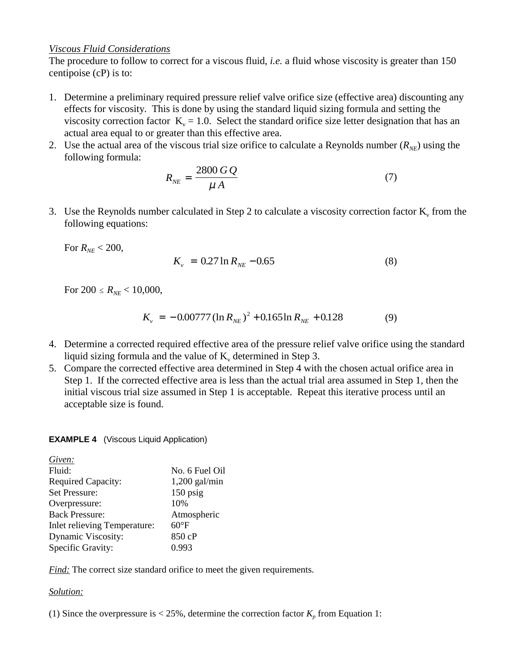### *Viscous Fluid Considerations*

The procedure to follow to correct for a viscous fluid, *i.e.* a fluid whose viscosity is greater than 150 centipoise (cP) is to:

- 1. Determine a preliminary required pressure relief valve orifice size (effective area) discounting any effects for viscosity. This is done by using the standard liquid sizing formula and setting the viscosity correction factor  $K_v = 1.0$ . Select the standard orifice size letter designation that has an actual area equal to or greater than this effective area.
- 2. Use the actual area of the viscous trial size orifice to calculate a Reynolds number  $(R_{NF})$  using the following formula:

$$
R_{NE} = \frac{2800 \, G \, Q}{\mu \, A} \tag{7}
$$

3. Use the Reynolds number calculated in Step 2 to calculate a viscosity correction factor  $K_v$  from the following equations:

For  $R_{NE}$  < 200,

$$
K_{\nu} = 0.27 \ln R_{NE} - 0.65 \tag{8}
$$

For  $200 \le R_{NE} < 10,000$ ,

$$
K_{\nu} = -0.00777 \left( \ln R_{NE} \right)^{2} + 0.165 \ln R_{NE} + 0.128 \tag{9}
$$

- 4. Determine a corrected required effective area of the pressure relief valve orifice using the standard liquid sizing formula and the value of  $K_v$  determined in Step 3.
- 5. Compare the corrected effective area determined in Step 4 with the chosen actual orifice area in Step 1. If the corrected effective area is less than the actual trial area assumed in Step 1, then the initial viscous trial size assumed in Step 1 is acceptable. Repeat this iterative process until an acceptable size is found.

### **EXAMPLE 4** (Viscous Liquid Application)

| Given:                       |                 |
|------------------------------|-----------------|
| Fluid:                       | No. 6 Fuel Oil  |
| <b>Required Capacity:</b>    | $1,200$ gal/min |
| Set Pressure:                | $150$ psig      |
| Overpressure:                | 10%             |
| <b>Back Pressure:</b>        | Atmospheric     |
| Inlet relieving Temperature: | $60^{\circ}F$   |
| Dynamic Viscosity:           | 850 cP          |
| Specific Gravity:            | 0.993           |
|                              |                 |

*Find:* The correct size standard orifice to meet the given requirements.

### *Solution:*

(1) Since the overpressure is  $< 25\%$ , determine the correction factor  $K_p$  from Equation 1: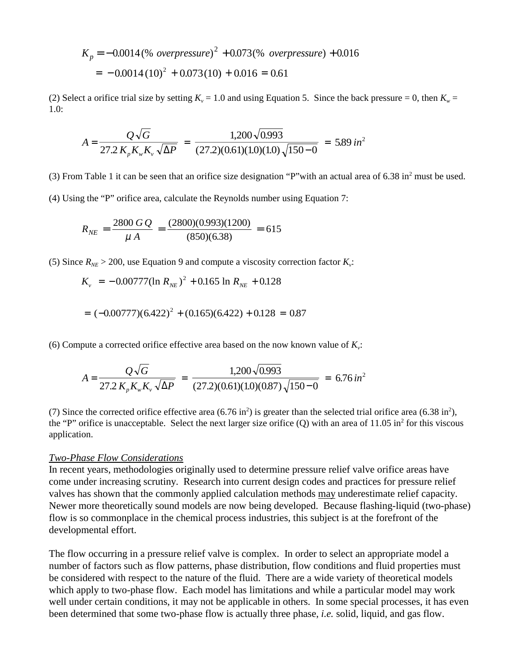$$
K_p = -0.0014 \left(\% \ over pressure\right)^2 + 0.073 \left(\% \ over pressure\right) + 0.016
$$

$$
= -0.0014 \left(10\right)^2 + 0.073 \left(10\right) + 0.016 = 0.61
$$

(2) Select a orifice trial size by setting  $K_v = 1.0$  and using Equation 5. Since the back pressure = 0, then  $K_w =$ 1.0:

$$
A = \frac{Q\sqrt{G}}{27.2\,K_{p}K_{w}K_{v}\sqrt{\Delta P}} = \frac{1,200\sqrt{0.993}}{(27.2)(0.61)(1.0)(1.0)\sqrt{150-0}} = 5.89\,in^2
$$

(3) From Table 1 it can be seen that an orifice size designation "P" with an actual area of  $6.38$  in<sup>2</sup> must be used.

(4) Using the "P" orifice area, calculate the Reynolds number using Equation 7:

$$
R_{NE} = \frac{2800 \, G \, Q}{\mu \, A} = \frac{(2800)(0.993)(1200)}{(850)(6.38)} = 615
$$

(5) Since  $R_{NE}$  > 200, use Equation 9 and compute a viscosity correction factor  $K_v$ :

$$
K_v = -0.00777(\ln R_{NE})^2 + 0.165 \ln R_{NE} + 0.128
$$

$$
= (-0.00777)(6.422)^{2} + (0.165)(6.422) + 0.128 = 0.87
$$

(6) Compute a corrected orifice effective area based on the now known value of  $K_v$ :

$$
A = \frac{Q\sqrt{G}}{27.2\,K_{p}K_{w}K_{v}\sqrt{\Delta P}} = \frac{1,200\sqrt{0.993}}{(27.2)(0.61)(1.0)(0.87)\sqrt{150 - 0}} = 6.76\,\text{in}^{2}
$$

(7) Since the corrected orifice effective area  $(6.76 \text{ in}^2)$  is greater than the selected trial orifice area  $(6.38 \text{ in}^2)$ , the "P" orifice is unacceptable. Select the next larger size orifice  $(Q)$  with an area of 11.05 in<sup>2</sup> for this viscous application.

### *Two-Phase Flow Considerations*

In recent years, methodologies originally used to determine pressure relief valve orifice areas have come under increasing scrutiny. Research into current design codes and practices for pressure relief valves has shown that the commonly applied calculation methods may underestimate relief capacity. Newer more theoretically sound models are now being developed. Because flashing-liquid (two-phase) flow is so commonplace in the chemical process industries, this subject is at the forefront of the developmental effort.

The flow occurring in a pressure relief valve is complex. In order to select an appropriate model a number of factors such as flow patterns, phase distribution, flow conditions and fluid properties must be considered with respect to the nature of the fluid. There are a wide variety of theoretical models which apply to two-phase flow. Each model has limitations and while a particular model may work well under certain conditions, it may not be applicable in others. In some special processes, it has even been determined that some two-phase flow is actually three phase, *i.e.* solid, liquid, and gas flow.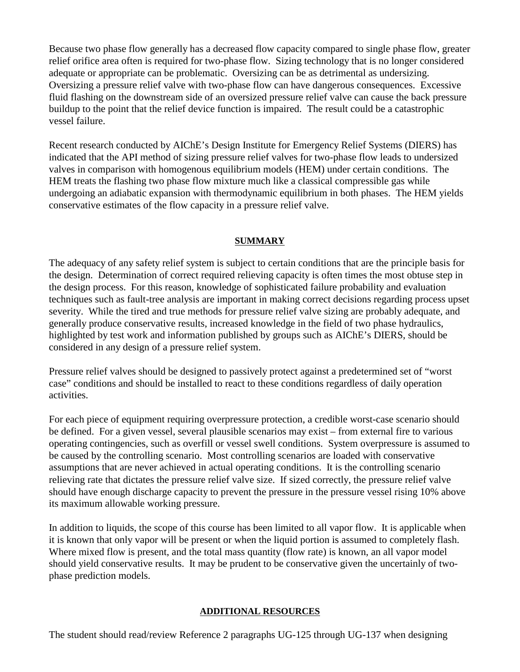Because two phase flow generally has a decreased flow capacity compared to single phase flow, greater relief orifice area often is required for two-phase flow. Sizing technology that is no longer considered adequate or appropriate can be problematic. Oversizing can be as detrimental as undersizing. Oversizing a pressure relief valve with two-phase flow can have dangerous consequences. Excessive fluid flashing on the downstream side of an oversized pressure relief valve can cause the back pressure buildup to the point that the relief device function is impaired. The result could be a catastrophic vessel failure.

Recent research conducted by AIChE's Design Institute for Emergency Relief Systems (DIERS) has indicated that the API method of sizing pressure relief valves for two-phase flow leads to undersized valves in comparison with homogenous equilibrium models (HEM) under certain conditions. The HEM treats the flashing two phase flow mixture much like a classical compressible gas while undergoing an adiabatic expansion with thermodynamic equilibrium in both phases. The HEM yields conservative estimates of the flow capacity in a pressure relief valve.

### **SUMMARY**

The adequacy of any safety relief system is subject to certain conditions that are the principle basis for the design. Determination of correct required relieving capacity is often times the most obtuse step in the design process. For this reason, knowledge of sophisticated failure probability and evaluation techniques such as fault-tree analysis are important in making correct decisions regarding process upset severity. While the tired and true methods for pressure relief valve sizing are probably adequate, and generally produce conservative results, increased knowledge in the field of two phase hydraulics, highlighted by test work and information published by groups such as AIChE's DIERS, should be considered in any design of a pressure relief system.

Pressure relief valves should be designed to passively protect against a predetermined set of "worst case" conditions and should be installed to react to these conditions regardless of daily operation activities.

For each piece of equipment requiring overpressure protection, a credible worst-case scenario should be defined. For a given vessel, several plausible scenarios may exist – from external fire to various operating contingencies, such as overfill or vessel swell conditions. System overpressure is assumed to be caused by the controlling scenario. Most controlling scenarios are loaded with conservative assumptions that are never achieved in actual operating conditions. It is the controlling scenario relieving rate that dictates the pressure relief valve size.If sized correctly, the pressure relief valve should have enough discharge capacity to prevent the pressure in the pressure vessel rising 10% above its maximum allowable working pressure.

In addition to liquids, the scope of this course has been limited to all vapor flow. It is applicable when it is known that only vapor will be present or when the liquid portion is assumed to completely flash. Where mixed flow is present, and the total mass quantity (flow rate) is known, an all vapor model should yield conservative results. It may be prudent to be conservative given the uncertainly of twophase prediction models.

### **ADDITIONAL RESOURCES**

The student should read/review Reference 2 paragraphs UG-125 through UG-137 when designing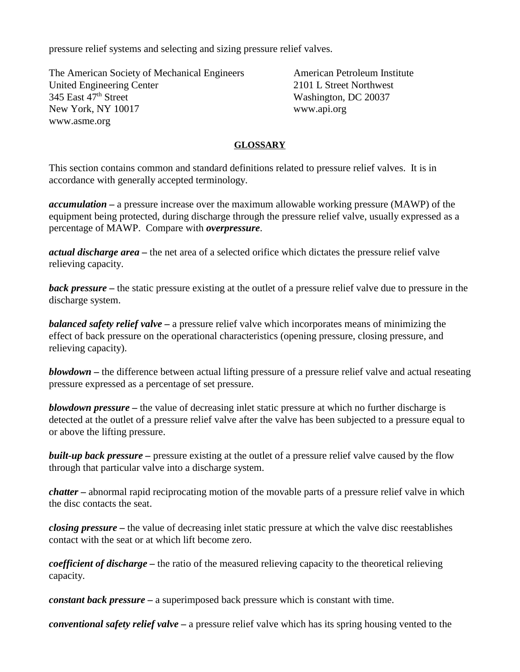pressure relief systems and selecting and sizing pressure relief valves.

The American Society of Mechanical Engineers American Petroleum Institute United Engineering Center 2101 L Street Northwest<br>
345 East 47<sup>th</sup> Street Northwest<br>
Washington, DC 20037 New York, NY 10017 www.api.org www.asme.org

Washington, DC 20037

# **GLOSSARY**

This section contains common and standard definitions related to pressure relief valves. It is in accordance with generally accepted terminology.

*accumulation –* a pressure increase over the maximum allowable working pressure (MAWP) of the equipment being protected, during discharge through the pressure relief valve, usually expressed as a percentage of MAWP. Compare with *overpressure*.

*actual discharge area –* the net area of a selected orifice which dictates the pressure relief valve relieving capacity.

*back pressure –* the static pressure existing at the outlet of a pressure relief valve due to pressure in the discharge system.

*balanced safety relief valve –* a pressure relief valve which incorporates means of minimizing the effect of back pressure on the operational characteristics (opening pressure, closing pressure, and relieving capacity).

*blowdown –* the difference between actual lifting pressure of a pressure relief valve and actual reseating pressure expressed as a percentage of set pressure.

*blowdown pressure* – the value of decreasing inlet static pressure at which no further discharge is detected at the outlet of a pressure relief valve after the valve has been subjected to a pressure equal to or above the lifting pressure.

*built-up back pressure –* pressure existing at the outlet of a pressure relief valve caused by the flow through that particular valve into a discharge system.

*chatter –* abnormal rapid reciprocating motion of the movable parts of a pressure relief valve in which the disc contacts the seat.

*closing pressure –* the value of decreasing inlet static pressure at which the valve disc reestablishes contact with the seat or at which lift become zero.

*coefficient of discharge –* the ratio of the measured relieving capacity to the theoretical relieving capacity.

*constant back pressure –* a superimposed back pressure which is constant with time.

*conventional safety relief valve –* a pressure relief valve which has its spring housing vented to the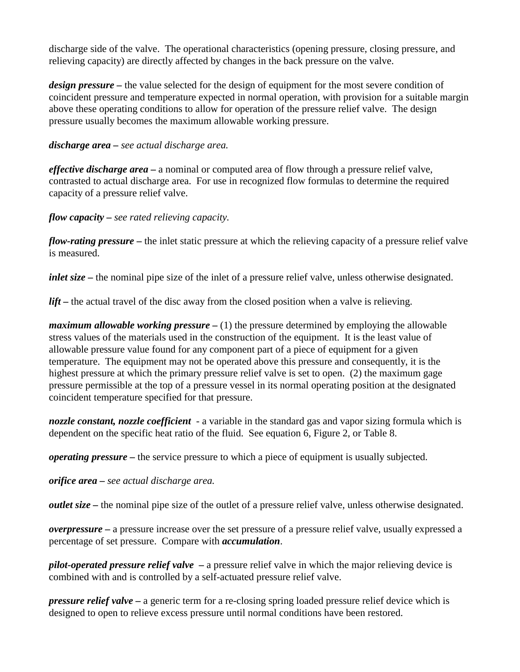discharge side of the valve. The operational characteristics (opening pressure, closing pressure, and relieving capacity) are directly affected by changes in the back pressure on the valve.

*design pressure* – the value selected for the design of equipment for the most severe condition of coincident pressure and temperature expected in normal operation, with provision for a suitable margin above these operating conditions to allow for operation of the pressure relief valve. The design pressure usually becomes the maximum allowable working pressure.

### *discharge area – see actual discharge area.*

*effective discharge area –* a nominal or computed area of flow through a pressure relief valve, contrasted to actual discharge area. For use in recognized flow formulas to determine the required capacity of a pressure relief valve.

# *flow capacity – see rated relieving capacity.*

*flow-rating pressure –* the inlet static pressure at which the relieving capacity of a pressure relief valve is measured.

*inlet size* – the nominal pipe size of the inlet of a pressure relief valve, unless otherwise designated.

lift – the actual travel of the disc away from the closed position when a valve is relieving.

*maximum allowable working pressure* – (1) the pressure determined by employing the allowable stress values of the materials used in the construction of the equipment. It is the least value of allowable pressure value found for any component part of a piece of equipment for a given temperature. The equipment may not be operated above this pressure and consequently, it is the highest pressure at which the primary pressure relief valve is set to open. (2) the maximum gage pressure permissible at the top of a pressure vessel in its normal operating position at the designated coincident temperature specified for that pressure.

*nozzle constant, nozzle coefficient* - a variable in the standard gas and vapor sizing formula which is dependent on the specific heat ratio of the fluid. See equation 6, Figure 2, or Table 8.

*operating pressure –* the service pressure to which a piece of equipment is usually subjected.

*orifice area – see actual discharge area.*

*outlet size –* the nominal pipe size of the outlet of a pressure relief valve, unless otherwise designated.

*overpressure –* a pressure increase over the set pressure of a pressure relief valve, usually expressed a percentage of set pressure. Compare with *accumulation*.

*pilot-operated pressure relief valve –* a pressure relief valve in which the major relieving device is combined with and is controlled by a self-actuated pressure relief valve.

*pressure relief valve –* a generic term for a re-closing spring loaded pressure relief device which is designed to open to relieve excess pressure until normal conditions have been restored.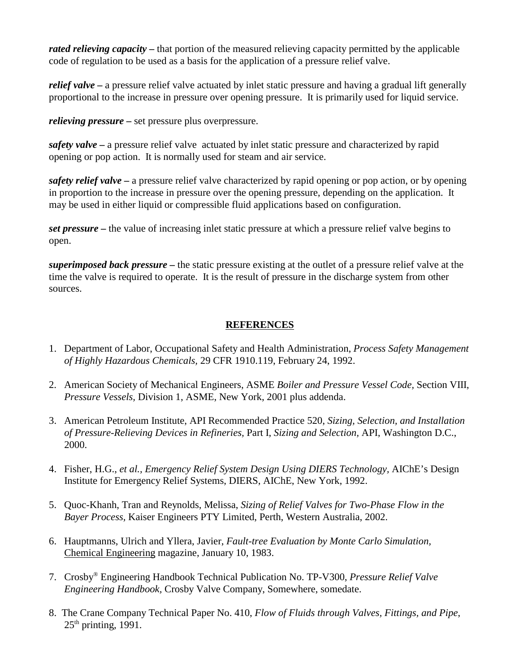*rated relieving capacity* – that portion of the measured relieving capacity permitted by the applicable code of regulation to be used as a basis for the application of a pressure relief valve.

*relief valve –* a pressure relief valve actuated by inlet static pressure and having a gradual lift generally proportional to the increase in pressure over opening pressure. It is primarily used for liquid service.

*relieving pressure* – set pressure plus overpressure.

*safety valve –* a pressure relief valve actuated by inlet static pressure and characterized by rapid opening or pop action. It is normally used for steam and air service.

*safety relief valve –* a pressure relief valve characterized by rapid opening or pop action, or by opening in proportion to the increase in pressure over the opening pressure, depending on the application. It may be used in either liquid or compressible fluid applications based on configuration.

*set pressure –* the value of increasing inlet static pressure at which a pressure relief valve begins to open.

*superimposed back pressure –* the static pressure existing at the outlet of a pressure relief valve at the time the valve is required to operate. It is the result of pressure in the discharge system from other sources.

# **REFERENCES**

- 1. Department of Labor, Occupational Safety and Health Administration, *Process Safety Management of Highly Hazardous Chemicals,* 29 CFR 1910.119, February 24, 1992.
- 2. American Society of Mechanical Engineers, ASME *Boiler and Pressure Vessel Code,* Section VIII, *Pressure Vessels,* Division 1, ASME, New York, 2001 plus addenda.
- 3. American Petroleum Institute, API Recommended Practice 520, *Sizing, Selection, and Installation of Pressure-Relieving Devices in Refineries,* Part I, *Sizing and Selection,* API, Washington D.C., 2000.
- 4. Fisher, H.G., *et al., Emergency Relief System Design Using DIERS Technology,* AIChE's Design Institute for Emergency Relief Systems, DIERS, AIChE, New York, 1992.
- 5. Quoc-Khanh, Tran and Reynolds, Melissa, *Sizing of Relief Valves for Two-Phase Flow in the Bayer Process,* Kaiser Engineers PTY Limited, Perth, Western Australia, 2002.
- 6. Hauptmanns, Ulrich and Yllera, Javier, *Fault-tree Evaluation by Monte Carlo Simulation,* Chemical Engineering magazine, January 10, 1983.
- 7. Crosby® Engineering Handbook Technical Publication No. TP-V300, *Pressure Relief Valve Engineering Handbook,* Crosby Valve Company, Somewhere, somedate.
- 8. The Crane Company Technical Paper No. 410, *Flow of Fluids through Valves, Fittings, and Pipe*,  $25<sup>th</sup>$  printing, 1991.